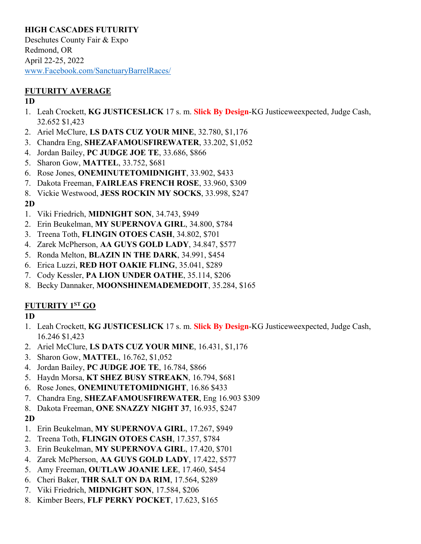### **HIGH CASCADES FUTURITY**

Deschutes County Fair & Expo Redmond, OR April 22-25, 2022 www.Facebook.com/SanctuaryBarrelRaces/

### **FUTURITY AVERAGE**

#### **1D**

- 1. Leah Crockett, **KG JUSTICESLICK** 17 s. m. **Slick By Design**-KG Justiceweexpected, Judge Cash, 32.652 \$1,423
- 2. Ariel McClure, **LS DATS CUZ YOUR MINE**, 32.780, \$1,176
- 3. Chandra Eng, **SHEZAFAMOUSFIREWATER**, 33.202, \$1,052
- 4. Jordan Bailey, **PC JUDGE JOE TE**, 33.686, \$866
- 5. Sharon Gow, **MATTEL**, 33.752, \$681
- 6. Rose Jones, **ONEMINUTETOMIDNIGHT**, 33.902, \$433
- 7. Dakota Freeman, **FAIRLEAS FRENCH ROSE**, 33.960, \$309
- 8. Vickie Westwood, **JESS ROCKIN MY SOCKS**, 33.998, \$247

### **2D**

- 1. Viki Friedrich, **MIDNIGHT SON**, 34.743, \$949
- 2. Erin Beukelman, **MY SUPERNOVA GIRL**, 34.800, \$784
- 3. Treena Toth, **FLINGIN OTOES CASH**, 34.802, \$701
- 4. Zarek McPherson, **AA GUYS GOLD LADY**, 34.847, \$577
- 5. Ronda Melton, **BLAZIN IN THE DARK**, 34.991, \$454
- 6. Erica Luzzi, **RED HOT OAKIE FLING**, 35.041, \$289
- 7. Cody Kessler, **PA LION UNDER OATHE**, 35.114, \$206
- 8. Becky Dannaker, **MOONSHINEMADEMEDOIT**, 35.284, \$165

## **FUTURITY 1ST GO**

## **1D**

- 1. Leah Crockett, **KG JUSTICESLICK** 17 s. m. **Slick By Design**-KG Justiceweexpected, Judge Cash, 16.246 \$1,423
- 2. Ariel McClure, **LS DATS CUZ YOUR MINE**, 16.431, \$1,176
- 3. Sharon Gow, **MATTEL**, 16.762, \$1,052
- 4. Jordan Bailey, **PC JUDGE JOE TE**, 16.784, \$866
- 5. Haydn Morsa, **KT SHEZ BUSY STREAKN**, 16.794, \$681
- 6. Rose Jones, **ONEMINUTETOMIDNIGHT**, 16.86 \$433
- 7. Chandra Eng, **SHEZAFAMOUSFIREWATER**, Eng 16.903 \$309
- 8. Dakota Freeman, **ONE SNAZZY NIGHT 37**, 16.935, \$247

# **2D**

- 1. Erin Beukelman, **MY SUPERNOVA GIRL**, 17.267, \$949
- 2. Treena Toth, **FLINGIN OTOES CASH**, 17.357, \$784
- 3. Erin Beukelman, **MY SUPERNOVA GIRL**, 17.420, \$701
- 4. Zarek McPherson, **AA GUYS GOLD LADY**, 17.422, \$577
- 5. Amy Freeman, **OUTLAW JOANIE LEE**, 17.460, \$454
- 6. Cheri Baker, **THR SALT ON DA RIM**, 17.564, \$289
- 7. Viki Friedrich, **MIDNIGHT SON**, 17.584, \$206
- 8. Kimber Beers, **FLF PERKY POCKET**, 17.623, \$165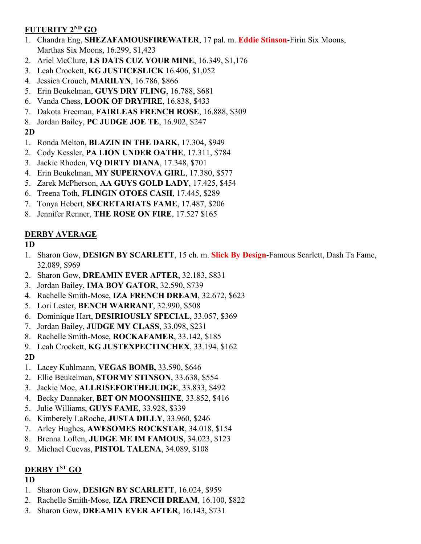### **FUTURITY 2ND GO**

- 1. Chandra Eng, **SHEZAFAMOUSFIREWATER**, 17 pal. m. **Eddie Stinson**-Firin Six Moons, Marthas Six Moons, 16.299, \$1,423
- 2. Ariel McClure, **LS DATS CUZ YOUR MINE**, 16.349, \$1,176
- 3. Leah Crockett, **KG JUSTICESLICK** 16.406, \$1,052
- 4. Jessica Crouch, **MARILYN**, 16.786, \$866
- 5. Erin Beukelman, **GUYS DRY FLING**, 16.788, \$681
- 6. Vanda Chess, **LOOK OF DRYFIRE**, 16.838, \$433
- 7. Dakota Freeman, **FAIRLEAS FRENCH ROSE**, 16.888, \$309
- 8. Jordan Bailey, **PC JUDGE JOE TE**, 16.902, \$247

## **2D**

- 1. Ronda Melton, **BLAZIN IN THE DARK**, 17.304, \$949
- 2. Cody Kessler, **PA LION UNDER OATHE**, 17.311, \$784
- 3. Jackie Rhoden, **VQ DIRTY DIANA**, 17.348, \$701
- 4. Erin Beukelman, **MY SUPERNOVA GIRL**, 17.380, \$577
- 5. Zarek McPherson, **AA GUYS GOLD LADY**, 17.425, \$454
- 6. Treena Toth, **FLINGIN OTOES CASH**, 17.445, \$289
- 7. Tonya Hebert, **SECRETARIATS FAME**, 17.487, \$206
- 8. Jennifer Renner, **THE ROSE ON FIRE**, 17.527 \$165

## **DERBY AVERAGE**

## **1D**

- 1. Sharon Gow, **DESIGN BY SCARLETT**, 15 ch. m. **Slick By Design**-Famous Scarlett, Dash Ta Fame, 32.089, \$969
- 2. Sharon Gow, **DREAMIN EVER AFTER**, 32.183, \$831
- 3. Jordan Bailey, **IMA BOY GATOR**, 32.590, \$739
- 4. Rachelle Smith-Mose, **IZA FRENCH DREAM**, 32.672, \$623
- 5. Lori Lester, **BENCH WARRANT**, 32.990, \$508
- 6. Dominique Hart, **DESIRIOUSLY SPECIAL**, 33.057, \$369
- 7. Jordan Bailey, **JUDGE MY CLASS**, 33.098, \$231
- 8. Rachelle Smith-Mose, **ROCKAFAMER**, 33.142, \$185
- 9. Leah Crockett, **KG JUSTEXPECTINCHEX**, 33.194, \$162

## **2D**

- 1. Lacey Kuhlmann, **VEGAS BOMB,** 33.590, \$646
- 2. Ellie Beukelman, **STORMY STINSON**, 33.638, \$554
- 3. Jackie Moe, **ALLRISEFORTHEJUDGE**, 33.833, \$492
- 4. Becky Dannaker, **BET ON MOONSHINE**, 33.852, \$416
- 5. Julie Williams, **GUYS FAME**, 33.928, \$339
- 6. Kimberely LaRoche, **JUSTA DILLY**, 33.960, \$246
- 7. Arley Hughes, **AWESOMES ROCKSTAR**, 34.018, \$154
- 8. Brenna Loften, **JUDGE ME IM FAMOUS**, 34.023, \$123
- 9. Michael Cuevas, **PISTOL TALENA**, 34.089, \$108

# **DERBY 1ST GO**

## **1D**

- 1. Sharon Gow, **DESIGN BY SCARLETT**, 16.024, \$959
- 2. Rachelle Smith-Mose, **IZA FRENCH DREAM**, 16.100, \$822
- 3. Sharon Gow, **DREAMIN EVER AFTER**, 16.143, \$731